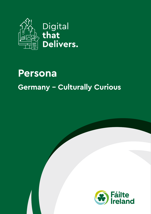

## **Persona Germany - Culturally Curious**